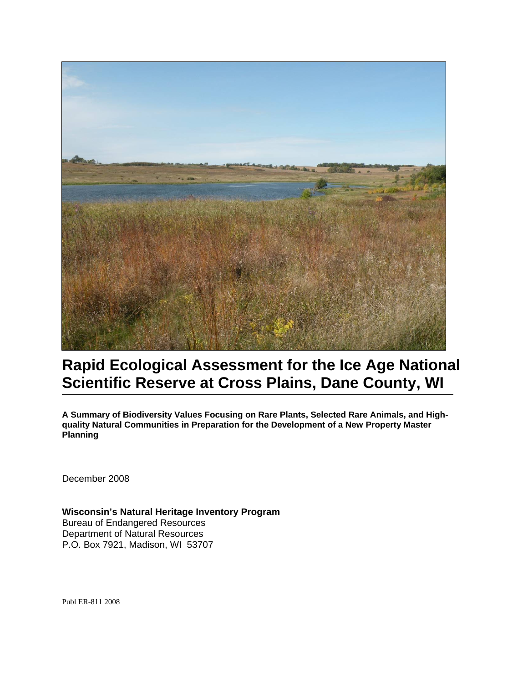

# **Rapid Ecological Assessment for the Ice Age National Scientific Reserve at Cross Plains, Dane County, WI**

**A Summary of Biodiversity Values Focusing on Rare Plants, Selected Rare Animals, and Highquality Natural Communities in Preparation for the Development of a New Property Master Planning**

December 2008

**Wisconsin's Natural Heritage Inventory Program**  Bureau of Endangered Resources Department of Natural Resources P.O. Box 7921, Madison, WI 53707

Publ ER-811 2008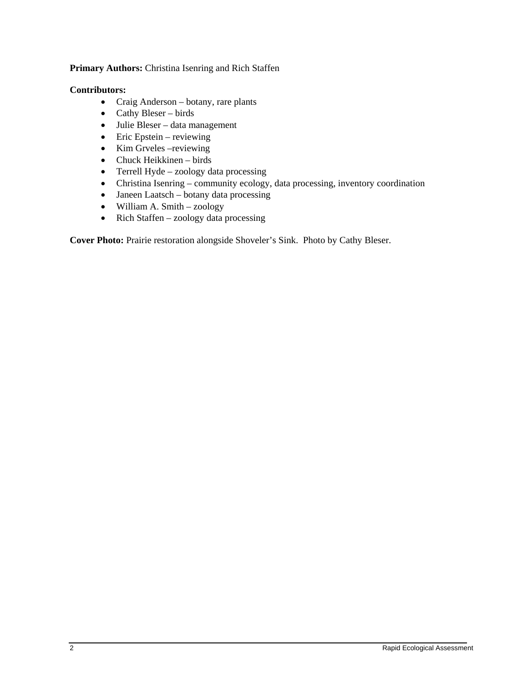#### **Primary Authors:** Christina Isenring and Rich Staffen

#### **Contributors:**

- Craig Anderson botany, rare plants
- Cathy Bleser birds
- Julie Bleser data management
- Eric Epstein reviewing
- Kim Grveles –reviewing
- Chuck Heikkinen birds
- Terrell Hyde zoology data processing
- Christina Isenring community ecology, data processing, inventory coordination
- Janeen Laatsch botany data processing
- William A. Smith zoology
- Rich Staffen zoology data processing

**Cover Photo:** Prairie restoration alongside Shoveler's Sink. Photo by Cathy Bleser.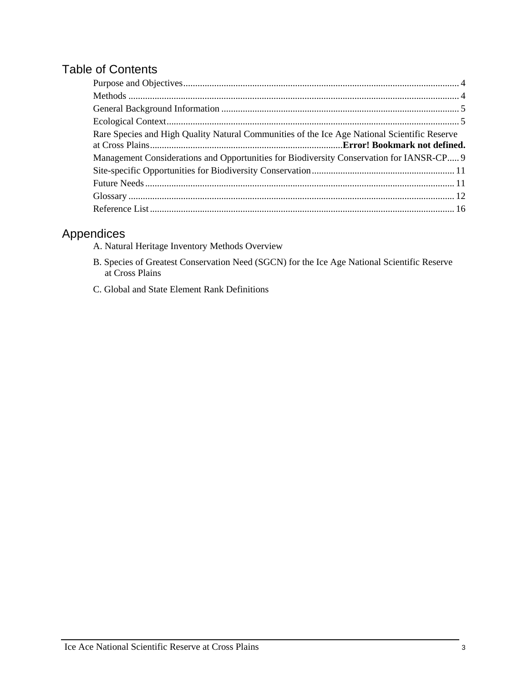# Table of Contents

| Rare Species and High Quality Natural Communities of the Ice Age National Scientific Reserve |  |
|----------------------------------------------------------------------------------------------|--|
|                                                                                              |  |
| Management Considerations and Opportunities for Biodiversity Conservation for IANSR-CP 9     |  |
|                                                                                              |  |
|                                                                                              |  |
|                                                                                              |  |

# Appendices

- A. Natural Heritage Inventory Methods Overview
- B. Species of Greatest Conservation Need (SGCN) for the Ice Age National Scientific Reserve at Cross Plains
- C. Global and State Element Rank Definitions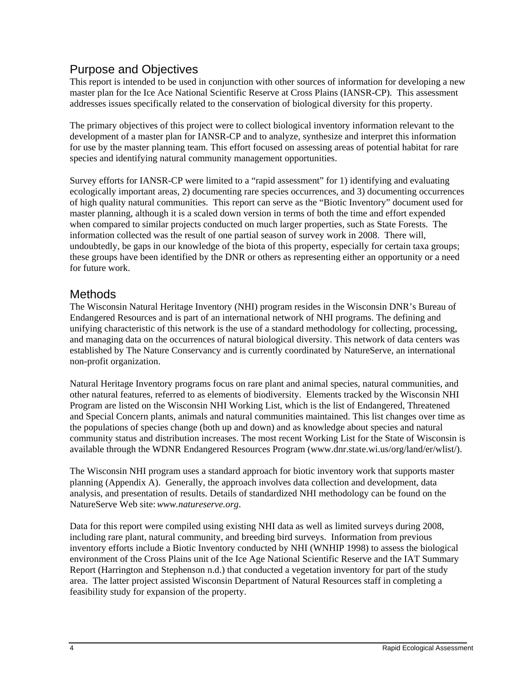## <span id="page-3-0"></span>Purpose and Objectives

This report is intended to be used in conjunction with other sources of information for developing a new master plan for the Ice Ace National Scientific Reserve at Cross Plains (IANSR-CP). This assessment addresses issues specifically related to the conservation of biological diversity for this property.

The primary objectives of this project were to collect biological inventory information relevant to the development of a master plan for IANSR-CP and to analyze, synthesize and interpret this information for use by the master planning team. This effort focused on assessing areas of potential habitat for rare species and identifying natural community management opportunities.

Survey efforts for IANSR-CP were limited to a "rapid assessment" for 1) identifying and evaluating ecologically important areas, 2) documenting rare species occurrences, and 3) documenting occurrences of high quality natural communities. This report can serve as the "Biotic Inventory" document used for master planning, although it is a scaled down version in terms of both the time and effort expended when compared to similar projects conducted on much larger properties, such as State Forests. The information collected was the result of one partial season of survey work in 2008. There will, undoubtedly, be gaps in our knowledge of the biota of this property, especially for certain taxa groups; these groups have been identified by the DNR or others as representing either an opportunity or a need for future work.

### <span id="page-3-1"></span>**Methods**

The Wisconsin Natural Heritage Inventory (NHI) program resides in the Wisconsin DNR's Bureau of Endangered Resources and is part of an international network of NHI programs. The defining and unifying characteristic of this network is the use of a standard methodology for collecting, processing, and managing data on the occurrences of natural biological diversity. This network of data centers was established by The Nature Conservancy and is currently coordinated by NatureServe, an international non-profit organization.

Natural Heritage Inventory programs focus on rare plant and animal species, natural communities, and other natural features, referred to as elements of biodiversity. Elements tracked by the Wisconsin NHI Program are listed on the Wisconsin NHI Working List, which is the list of Endangered, Threatened and Special Concern plants, animals and natural communities maintained. This list changes over time as the populations of species change (both up and down) and as knowledge about species and natural community status and distribution increases. The most recent Working List for the State of Wisconsin is available through the WDNR Endangered Resources Program (www.dnr.state.wi.us/org/land/er/wlist/).

The Wisconsin NHI program uses a standard approach for biotic inventory work that supports master planning (Appendix A). Generally, the approach involves data collection and development, data analysis, and presentation of results. Details of standardized NHI methodology can be found on the NatureServe Web site:*www.natureserve.org*.

Data for this report were compiled using existing NHI data as well as limited surveys during 2008, including rare plant, natural community, and breeding bird surveys. Information from previous inventory efforts include a Biotic Inventory conducted by NHI (WNHIP 1998) to assess the biological environment of the Cross Plains unit of the Ice Age National Scientific Reserve and the IAT Summary Report (Harrington and Stephenson n.d.) that conducted a vegetation inventory for part of the study area. The latter project assisted Wisconsin Department of Natural Resources staff in completing a feasibility study for expansion of the property.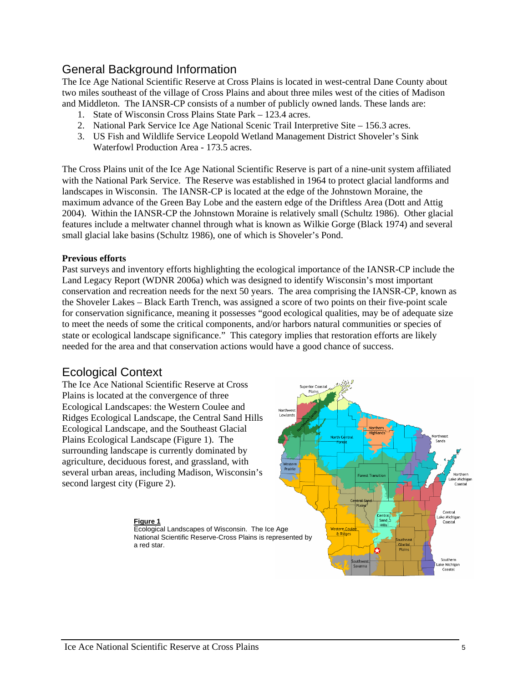### <span id="page-4-0"></span>General Background Information

The Ice Age National Scientific Reserve at Cross Plains is located in west-central Dane County about two miles southeast of the village of Cross Plains and about three miles west of the cities of Madison and Middleton. The IANSR-CP consists of a number of publicly owned lands. These lands are:

- 1. State of Wisconsin Cross Plains State Park 123.4 acres.
- 2. National Park Service Ice Age National Scenic Trail Interpretive Site 156.3 acres.
- 3. US Fish and Wildlife Service Leopold Wetland Management District Shoveler's Sink Waterfowl Production Area - 173.5 acres.

The Cross Plains unit of the Ice Age National Scientific Reserve is part of a nine-unit system affiliated with the National Park Service. The Reserve was established in 1964 to protect glacial landforms and landscapes in Wisconsin. The IANSR-CP is located at the edge of the Johnstown Moraine, the maximum advance of the Green Bay Lobe and the eastern edge of the Driftless Area (Dott and Attig 2004). Within the IANSR-CP the Johnstown Moraine is relatively small (Schultz 1986). Other glacial features include a meltwater channel through what is known as Wilkie Gorge (Black 1974) and several small glacial lake basins (Schultz 1986), one of which is Shoveler's Pond.

#### **Previous efforts**

Past surveys and inventory efforts highlighting the ecological importance of the IANSR-CP include the Land Legacy Report (WDNR 2006a) which was designed to identify Wisconsin's most important conservation and recreation needs for the next 50 years. The area comprising the IANSR-CP, known as the Shoveler Lakes – Black Earth Trench, was assigned a score of two points on their five-point scale for conservation significance, meaning it possesses "good ecological qualities, may be of adequate size to meet the needs of some the critical components, and/or harbors natural communities or species of state or ecological landscape significance." This category implies that restoration efforts are likely needed for the area and that conservation actions would have a good chance of success.

### <span id="page-4-1"></span>Ecological Context

The Ice Ace National Scientific Reserve at Cross Plains is located at the convergence of three Ecological Landscapes: the Western Coulee and Ridges Ecological Landscape, the Central Sand Hills Ecological Landscape, and the Southeast Glacial Plains Ecological Landscape (Figure 1). The surrounding landscape is currently dominated by agriculture, deciduous forest, and grassland, with several urban areas, including Madison, Wisconsin's second largest city (Figure 2).



Ecological Landscapes of Wisconsin. The Ice Age National Scientific Reserve-Cross Plains is represented by a red star.

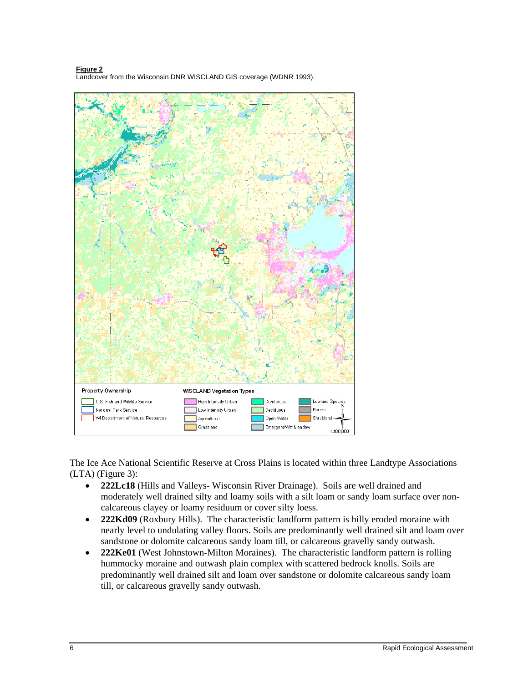Property Ownership WISCLAND Vegetation Types U.S. Fish and Wildlife Service High Intensity Urban Lowland Species Coniferous National Park Service Low Intensity Urban Deciduous Barren W Department of Natural Resources Agricultural Open Water Shrubland Grassland Emergent/Wet Meadow 1:400,000

**Figure 2** Landcover from the Wisconsin DNR WISCLAND GIS coverage (WDNR 1993).

The Ice Ace National Scientific Reserve at Cross Plains is located within three Landtype Associations (LTA) (Figure 3):

- **222Lc18** (Hills and Valleys- Wisconsin River Drainage). Soils are well drained and moderately well drained silty and loamy soils with a silt loam or sandy loam surface over noncalcareous clayey or loamy residuum or cover silty loess.
- **222Kd09** (Roxbury Hills). The characteristic landform pattern is hilly eroded moraine with nearly level to undulating valley floors. Soils are predominantly well drained silt and loam over sandstone or dolomite calcareous sandy loam till, or calcareous gravelly sandy outwash.
- **222Ke01** (West Johnstown-Milton Moraines). The characteristic landform pattern is rolling hummocky moraine and outwash plain complex with scattered bedrock knolls. Soils are predominantly well drained silt and loam over sandstone or dolomite calcareous sandy loam till, or calcareous gravelly sandy outwash.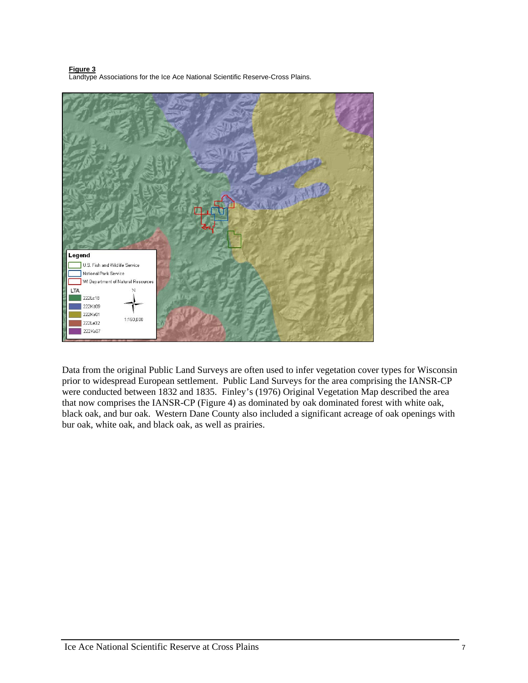**Figure 3** Landtype Associations for the Ice Ace National Scientific Reserve-Cross Plains.



Data from the original Public Land Surveys are often used to infer vegetation cover types for Wisconsin prior to widespread European settlement. Public Land Surveys for the area comprising the IANSR-CP were conducted between 1832 and 1835. Finley's (1976) Original Vegetation Map described the area that now comprises the IANSR-CP (Figure 4) as dominated by oak dominated forest with white oak, black oak, and bur oak. Western Dane County also included a significant acreage of oak openings with bur oak, white oak, and black oak, as well as prairies.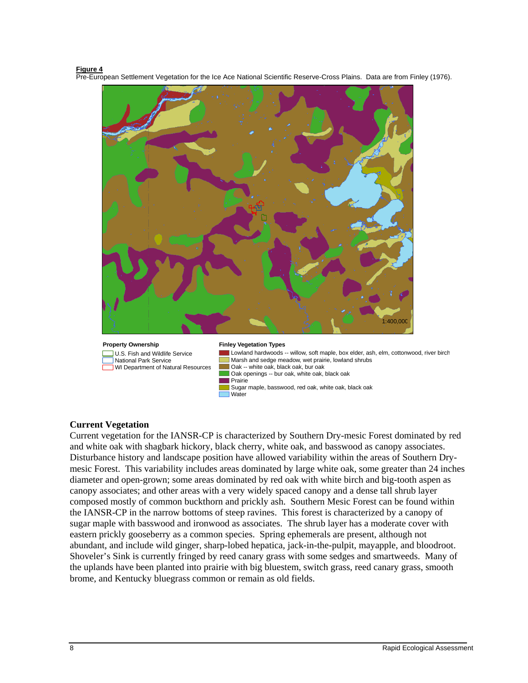#### **Figure 4**

Pre-European Settlement Vegetation for the Ice Ace National Scientific Reserve-Cross Plains. Data are from Finley (1976).



**Property Ownership** U.S. Fish and Wildlife Service National Park Service **WI Department of Natural Resources** 

#### **Finley Vegetation Types**

**Water** 

Lowland hardwoods -- willow, soft maple, box elder, ash, elm, cottonwood, river birch Marsh and sedge meadow, wet prairie, lowland shrubs Oak -- white oak, black oak, bur oak

- Oak openings -- bur oak, white oak, black oak
- Prairie Sugar maple, basswood, red oak, white oak, black oak

#### **Current Vegetation**

Current vegetation for the IANSR-CP is characterized by Southern Dry-mesic Forest dominated by red and white oak with shagbark hickory, black cherry, white oak, and basswood as canopy associates. Disturbance history and landscape position have allowed variability within the areas of Southern Drymesic Forest. This variability includes areas dominated by large white oak, some greater than 24 inches diameter and open-grown; some areas dominated by red oak with white birch and big-tooth aspen as canopy associates; and other areas with a very widely spaced canopy and a dense tall shrub layer composed mostly of common buckthorn and prickly ash. Southern Mesic Forest can be found within the IANSR-CP in the narrow bottoms of steep ravines. This forest is characterized by a canopy of sugar maple with basswood and ironwood as associates. The shrub layer has a moderate cover with eastern prickly gooseberry as a common species. Spring ephemerals are present, although not abundant, and include wild ginger, sharp-lobed hepatica, jack-in-the-pulpit, mayapple, and bloodroot. Shoveler's Sink is currently fringed by reed canary grass with some sedges and smartweeds. Many of the uplands have been planted into prairie with big bluestem, switch grass, reed canary grass, smooth brome, and Kentucky bluegrass common or remain as old fields.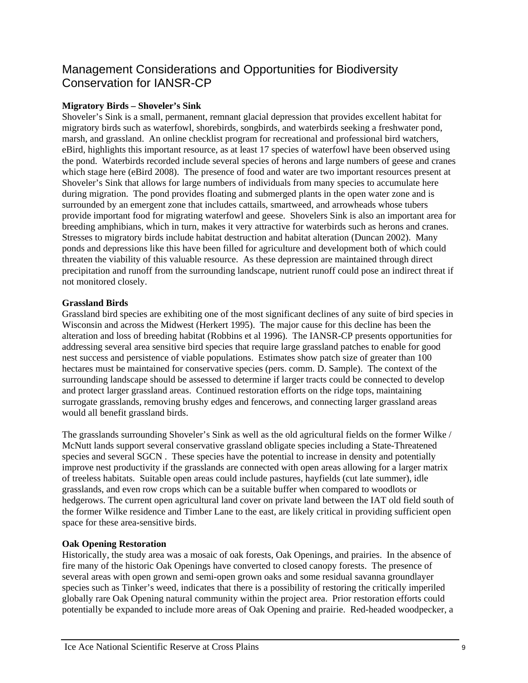## <span id="page-8-0"></span>Management Considerations and Opportunities for Biodiversity Conservation for IANSR-CP

### **Migratory Birds – Shoveler's Sink**

Shoveler's Sink is a small, permanent, remnant glacial depression that provides excellent habitat for migratory birds such as waterfowl, shorebirds, songbirds, and waterbirds seeking a freshwater pond, marsh, and grassland. An online checklist program for recreational and professional bird watchers, eBird, highlights this important resource, as at least 17 species of waterfowl have been observed using the pond. Waterbirds recorded include several species of herons and large numbers of geese and cranes which stage here (eBird 2008). The presence of food and water are two important resources present at Shoveler's Sink that allows for large numbers of individuals from many species to accumulate here during migration. The pond provides floating and submerged plants in the open water zone and is surrounded by an emergent zone that includes cattails, smartweed, and arrowheads whose tubers provide important food for migrating waterfowl and geese. Shovelers Sink is also an important area for breeding amphibians, which in turn, makes it very attractive for waterbirds such as herons and cranes. Stresses to migratory birds include habitat destruction and habitat alteration (Duncan 2002). Many ponds and depressions like this have been filled for agriculture and development both of which could threaten the viability of this valuable resource. As these depression are maintained through direct precipitation and runoff from the surrounding landscape, nutrient runoff could pose an indirect threat if not monitored closely.

#### **Grassland Birds**

Grassland bird species are exhibiting one of the most significant declines of any suite of bird species in Wisconsin and across the Midwest (Herkert 1995). The major cause for this decline has been the alteration and loss of breeding habitat (Robbins et al 1996). The IANSR-CP presents opportunities for addressing several area sensitive bird species that require large grassland patches to enable for good nest success and persistence of viable populations. Estimates show patch size of greater than 100 hectares must be maintained for conservative species (pers. comm. D. Sample). The context of the surrounding landscape should be assessed to determine if larger tracts could be connected to develop and protect larger grassland areas. Continued restoration efforts on the ridge tops, maintaining surrogate grasslands, removing brushy edges and fencerows, and connecting larger grassland areas would all benefit grassland birds.

The grasslands surrounding Shoveler's Sink as well as the old agricultural fields on the former Wilke / McNutt lands support several conservative grassland obligate species including a State-Threatened species and several SGCN . These species have the potential to increase in density and potentially improve nest productivity if the grasslands are connected with open areas allowing for a larger matrix of treeless habitats. Suitable open areas could include pastures, hayfields (cut late summer), idle grasslands, and even row crops which can be a suitable buffer when compared to woodlots or hedgerows. The current open agricultural land cover on private land between the IAT old field south of the former Wilke residence and Timber Lane to the east, are likely critical in providing sufficient open space for these area-sensitive birds.

#### **Oak Opening Restoration**

Historically, the study area was a mosaic of oak forests, Oak Openings, and prairies. In the absence of fire many of the historic Oak Openings have converted to closed canopy forests. The presence of several areas with open grown and semi-open grown oaks and some residual savanna groundlayer species such as Tinker's weed, indicates that there is a possibility of restoring the critically imperiled globally rare Oak Opening natural community within the project area. Prior restoration efforts could potentially be expanded to include more areas of Oak Opening and prairie. Red-headed woodpecker, a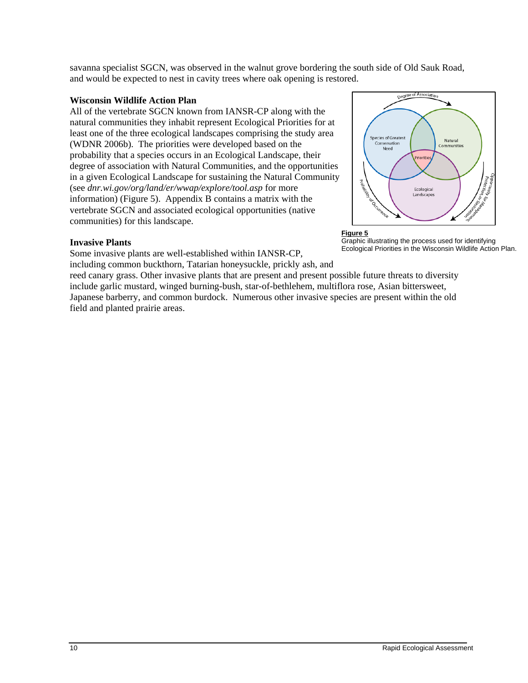savanna specialist SGCN, was observed in the walnut grove bordering the south side of Old Sauk Road, and would be expected to nest in cavity trees where oak opening is restored.

#### **Wisconsin Wildlife Action Plan**

All of the vertebrate SGCN known from IANSR-CP along with the natural communities they inhabit represent Ecological Priorities for at least one of the three ecological landscapes comprising the study area (WDNR 2006b). The priorities were developed based on the probability that a species occurs in an Ecological Landscape, their degree of association with Natural Communities, and the opportunities in a given Ecological Landscape for sustaining the Natural Community (see *dnr.wi.gov/org/land/er/wwap/explore/tool.asp* for more information) (Figure 5). Appendix B contains a matrix with the vertebrate SGCN and associated ecological opportunities (native communities) for this landscape.

#### **Invasive Plants**

Some invasive plants are well-established within IANSR-CP,

including common buckthorn, Tatarian honeysuckle, prickly ash, and

reed canary grass. Other invasive plants that are present and present possible future threats to diversity include garlic mustard, winged burning-bush, star-of-bethlehem, multiflora rose, Asian bittersweet, Japanese barberry, and common burdock. Numerous other invasive species are present within the old field and planted prairie areas.



#### **Figure 5**

Graphic illustrating the process used for identifying Ecological Priorities in the Wisconsin Wildlife Action Plan.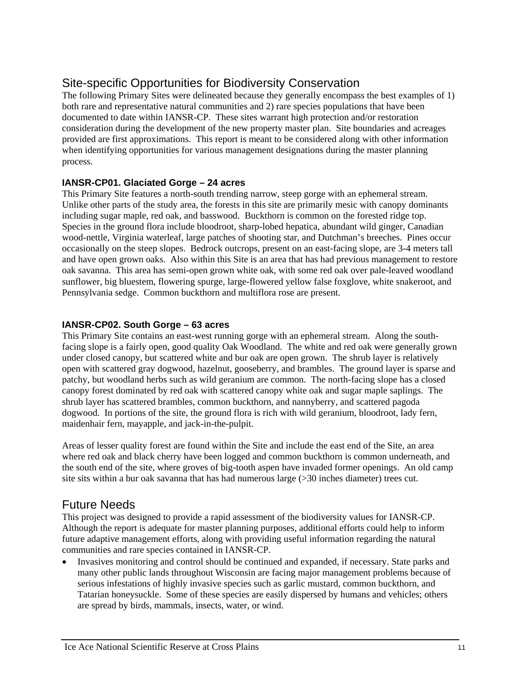## <span id="page-10-0"></span>Site-specific Opportunities for Biodiversity Conservation

The following Primary Sites were delineated because they generally encompass the best examples of 1) both rare and representative natural communities and 2) rare species populations that have been documented to date within IANSR-CP. These sites warrant high protection and/or restoration consideration during the development of the new property master plan. Site boundaries and acreages provided are first approximations. This report is meant to be considered along with other information when identifying opportunities for various management designations during the master planning process.

### **IANSR-CP01. Glaciated Gorge – 24 acres**

This Primary Site features a north-south trending narrow, steep gorge with an ephemeral stream. Unlike other parts of the study area, the forests in this site are primarily mesic with canopy dominants including sugar maple, red oak, and basswood. Buckthorn is common on the forested ridge top. Species in the ground flora include bloodroot, sharp-lobed hepatica, abundant wild ginger, Canadian wood-nettle, Virginia waterleaf, large patches of shooting star, and Dutchman's breeches. Pines occur occasionally on the steep slopes. Bedrock outcrops, present on an east-facing slope, are 3-4 meters tall and have open grown oaks. Also within this Site is an area that has had previous management to restore oak savanna. This area has semi-open grown white oak, with some red oak over pale-leaved woodland sunflower, big bluestem, flowering spurge, large-flowered yellow false foxglove, white snakeroot, and Pennsylvania sedge. Common buckthorn and multiflora rose are present.

### **IANSR-CP02. South Gorge – 63 acres**

This Primary Site contains an east-west running gorge with an ephemeral stream. Along the southfacing slope is a fairly open, good quality Oak Woodland. The white and red oak were generally grown under closed canopy, but scattered white and bur oak are open grown. The shrub layer is relatively open with scattered gray dogwood, hazelnut, gooseberry, and brambles. The ground layer is sparse and patchy, but woodland herbs such as wild geranium are common. The north-facing slope has a closed canopy forest dominated by red oak with scattered canopy white oak and sugar maple saplings. The shrub layer has scattered brambles, common buckthorn, and nannyberry, and scattered pagoda dogwood. In portions of the site, the ground flora is rich with wild geranium, bloodroot, lady fern, maidenhair fern, mayapple, and jack-in-the-pulpit.

Areas of lesser quality forest are found within the Site and include the east end of the Site, an area where red oak and black cherry have been logged and common buckthorn is common underneath, and the south end of the site, where groves of big-tooth aspen have invaded former openings. An old camp site sits within a bur oak savanna that has had numerous large (>30 inches diameter) trees cut.

## <span id="page-10-1"></span>Future Needs

This project was designed to provide a rapid assessment of the biodiversity values for IANSR-CP. Although the report is adequate for master planning purposes, additional efforts could help to inform future adaptive management efforts, along with providing useful information regarding the natural communities and rare species contained in IANSR-CP.

 Invasives monitoring and control should be continued and expanded, if necessary. State parks and many other public lands throughout Wisconsin are facing major management problems because of serious infestations of highly invasive species such as garlic mustard, common buckthorn, and Tatarian honeysuckle. Some of these species are easily dispersed by humans and vehicles; others are spread by birds, mammals, insects, water, or wind.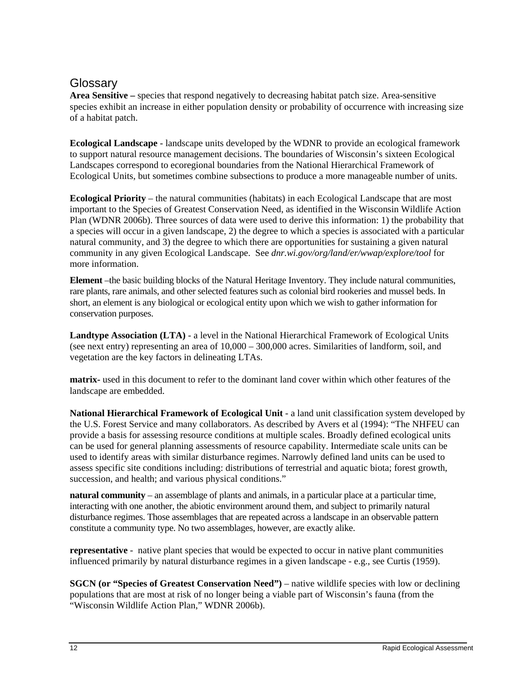## <span id="page-11-0"></span>**Glossary**

**Area Sensitive –** species that respond negatively to decreasing habitat patch size. Area-sensitive species exhibit an increase in either population density or probability of occurrence with increasing size of a habitat patch.

**Ecological Landscape** - landscape units developed by the WDNR to provide an ecological framework to support natural resource management decisions. The boundaries of Wisconsin's sixteen Ecological Landscapes correspond to ecoregional boundaries from the National Hierarchical Framework of Ecological Units, but sometimes combine subsections to produce a more manageable number of units.

**Ecological Priority** – the natural communities (habitats) in each Ecological Landscape that are most important to the Species of Greatest Conservation Need, as identified in the Wisconsin Wildlife Action Plan (WDNR 2006b). Three sources of data were used to derive this information: 1) the probability that a species will occur in a given landscape, 2) the degree to which a species is associated with a particular natural community, and 3) the degree to which there are opportunities for sustaining a given natural community in any given Ecological Landscape. See *dnr.wi.gov/org/land/er/wwap/explore/tool* for more information.

**Element** –the basic building blocks of the Natural Heritage Inventory. They include natural communities, rare plants, rare animals, and other selected features such as colonial bird rookeries and mussel beds. In short, an element is any biological or ecological entity upon which we wish to gather information for conservation purposes.

**Landtype Association (LTA)** - a level in the National Hierarchical Framework of Ecological Units (see next entry) representing an area of 10,000 – 300,000 acres. Similarities of landform, soil, and vegetation are the key factors in delineating LTAs.

**matrix-** used in this document to refer to the dominant land cover within which other features of the landscape are embedded.

**National Hierarchical Framework of Ecological Unit** - a land unit classification system developed by the U.S. Forest Service and many collaborators. As described by Avers et al (1994): "The NHFEU can provide a basis for assessing resource conditions at multiple scales. Broadly defined ecological units can be used for general planning assessments of resource capability. Intermediate scale units can be used to identify areas with similar disturbance regimes. Narrowly defined land units can be used to assess specific site conditions including: distributions of terrestrial and aquatic biota; forest growth, succession, and health; and various physical conditions."

**natural community** – an assemblage of plants and animals, in a particular place at a particular time, interacting with one another, the abiotic environment around them, and subject to primarily natural disturbance regimes. Those assemblages that are repeated across a landscape in an observable pattern constitute a community type. No two assemblages, however, are exactly alike.

**representative** - native plant species that would be expected to occur in native plant communities influenced primarily by natural disturbance regimes in a given landscape - e.g., see Curtis (1959).

**SGCN (or "Species of Greatest Conservation Need")** – native wildlife species with low or declining populations that are most at risk of no longer being a viable part of Wisconsin's fauna (from the "Wisconsin Wildlife Action Plan," WDNR 2006b).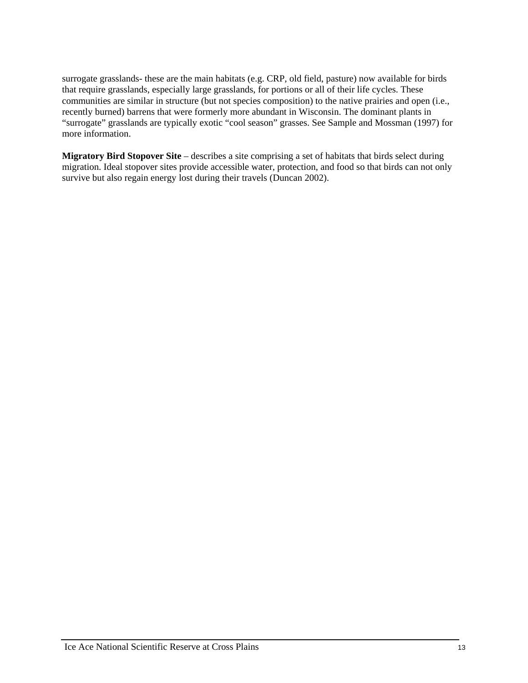surrogate grasslands- these are the main habitats (e.g. CRP, old field, pasture) now available for birds that require grasslands, especially large grasslands, for portions or all of their life cycles. These communities are similar in structure (but not species composition) to the native prairies and open (i.e., recently burned) barrens that were formerly more abundant in Wisconsin. The dominant plants in "surrogate" grasslands are typically exotic "cool season" grasses. See Sample and Mossman (1997) for more information.

**Migratory Bird Stopover Site** – describes a site comprising a set of habitats that birds select during migration. Ideal stopover sites provide accessible water, protection, and food so that birds can not only survive but also regain energy lost during their travels (Duncan 2002).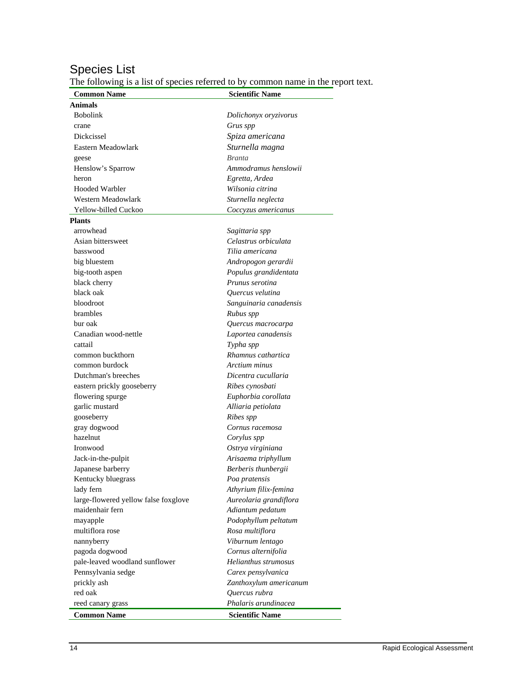### Species List

The following is a list of species referred to by common name in the report text.

| <b>Common Name</b>                   | <b>Scientific Name</b> |
|--------------------------------------|------------------------|
| Animals                              |                        |
| <b>Bobolink</b>                      | Dolichonyx oryzivorus  |
| crane                                | Grus spp               |
| Dickcissel                           | Spiza americana        |
| Eastern Meadowlark                   | Sturnella magna        |
| geese                                | <b>Branta</b>          |
| Henslow's Sparrow                    | Ammodramus henslowii   |
| heron                                | Egretta, Ardea         |
| <b>Hooded Warbler</b>                | Wilsonia citrina       |
| Western Meadowlark                   | Sturnella neglecta     |
| Yellow-billed Cuckoo                 | Coccyzus americanus    |
| Plants                               |                        |
| arrowhead                            | Sagittaria spp         |
| Asian bittersweet                    | Celastrus orbiculata   |
| basswood                             | Tilia americana        |
| big bluestem                         | Andropogon gerardii    |
| big-tooth aspen                      | Populus grandidentata  |
| black cherry                         | Prunus serotina        |
| black oak                            | Ouercus velutina       |
| bloodroot                            | Sanguinaria canadensis |
| brambles                             | Rubus spp              |
| bur oak                              | Quercus macrocarpa     |
| Canadian wood-nettle                 | Laportea canadensis    |
| cattail                              | Typha spp              |
| common buckthorn                     | Rhamnus cathartica     |
| common burdock                       | Arctium minus          |
| Dutchman's breeches                  | Dicentra cucullaria    |
| eastern prickly gooseberry           | Ribes cynosbati        |
| flowering spurge                     | Euphorbia corollata    |
| garlic mustard                       | Alliaria petiolata     |
| gooseberry                           | Ribes spp              |
| gray dogwood                         | Cornus racemosa        |
| hazelnut                             | Corylus spp            |
| Ironwood                             | Ostrya virginiana      |
| Jack-in-the-pulpit                   | Arisaema triphyllum    |
| Japanese barberry                    | Berberis thunbergii    |
| Kentucky bluegrass                   | Poa pratensis          |
| lady fern                            | Athyrium filix-femina  |
| large-flowered yellow false foxglove | Aureolaria grandiflora |
| maidenhair fern                      | Adiantum pedatum       |
| mayapple                             | Podophyllum peltatum   |
| multiflora rose                      | Rosa multiflora        |
| nannyberry                           | Viburnum lentago       |
| pagoda dogwood                       | Cornus alternifolia    |
| pale-leaved woodland sunflower       | Helianthus strumosus   |
| Pennsylvania sedge                   | Carex pensylvanica     |
| prickly ash                          | Zanthoxylum americanum |
| red oak                              | Quercus rubra          |
| reed canary grass                    | Phalaris arundinacea   |
| <b>Common Name</b>                   | <b>Scientific Name</b> |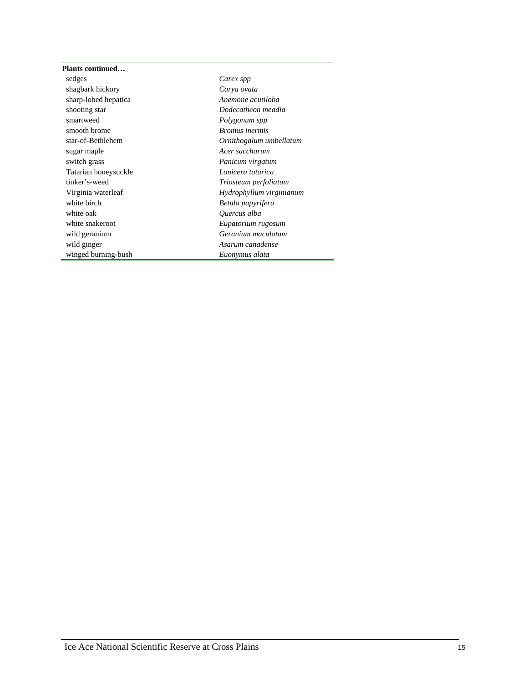| Plants continued     |                          |
|----------------------|--------------------------|
| sedges               | Carex spp                |
| shagbark hickory     | Carya ovata              |
| sharp-lobed hepatica | Anemone acutiloba        |
| shooting star        | Dodecatheon meadia       |
| smartweed            | Polygonum spp            |
| smooth brome         | <b>Bromus</b> inermis    |
| star-of-Bethlehem    | Ornithogalum umbellatum  |
| sugar maple          | Acer saccharum           |
| switch grass         | Panicum virgatum         |
| Tatarian honeysuckle | Lonicera tatarica        |
| tinker's-weed        | Triosteum perfoliatum    |
| Virginia waterleaf   | Hydrophyllum virginianum |
| white birch          | Betula papyrifera        |
| white oak            | Quercus alba             |
| white snakeroot      | Eupatorium rugosum       |
| wild geranium        | Geranium maculatum       |
| wild ginger          | Asarum canadense         |
| winged burning-bush  | Euonymus alata           |